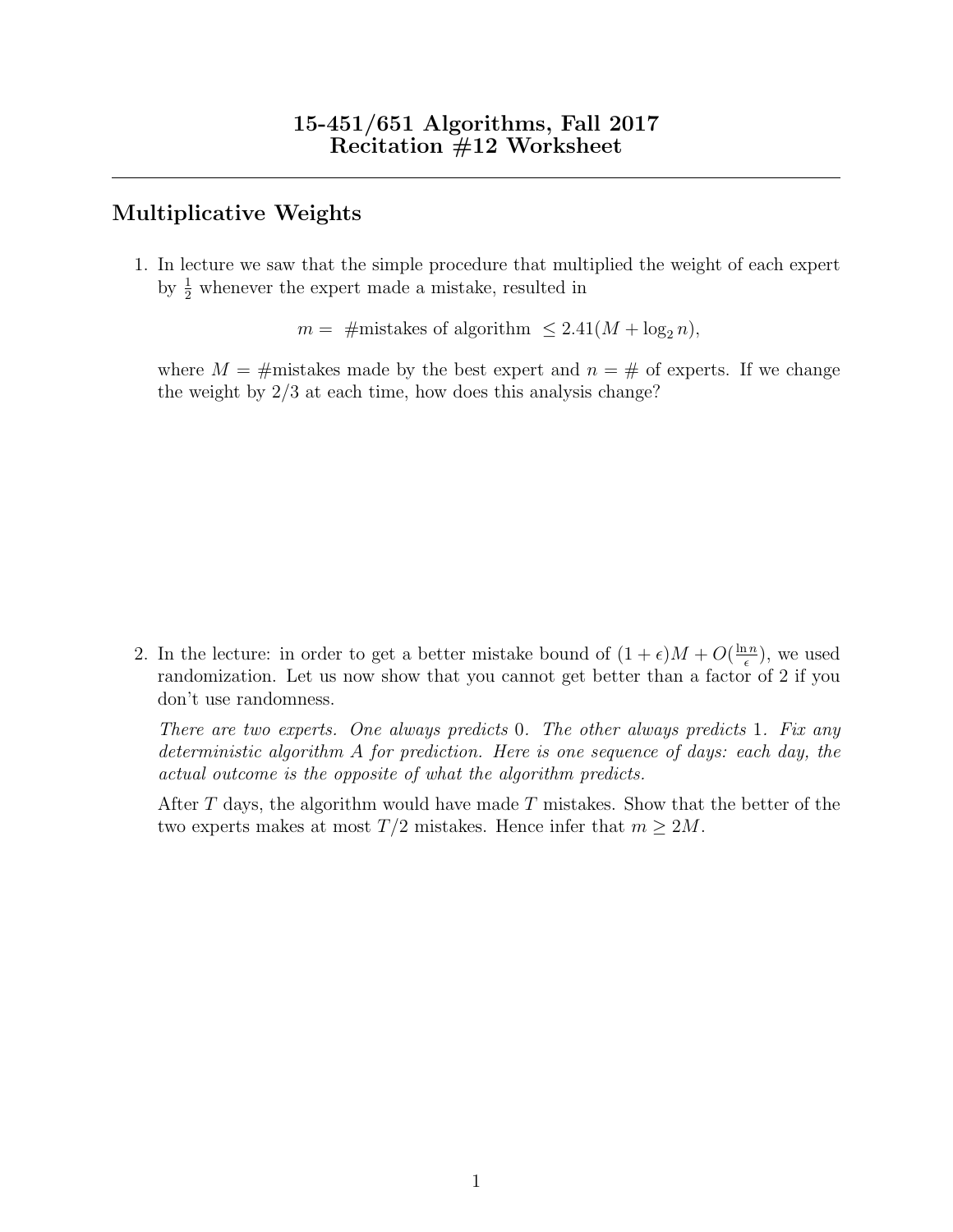## Multiplicative Weights

1. In lecture we saw that the simple procedure that multiplied the weight of each expert by  $\frac{1}{2}$  whenever the expert made a mistake, resulted in

 $m = \text{\#mistakes of algorithm } \leq 2.41(M + \log_2 n),$ 

where  $M = \text{\#mistakes}$  made by the best expert and  $n = \text{\#}$  of experts. If we change the weight by 2/3 at each time, how does this analysis change?

2. In the lecture: in order to get a better mistake bound of  $(1 + \epsilon)M + O(\frac{\ln n}{\epsilon})$  $\frac{\ln n}{\epsilon}$ ), we used randomization. Let us now show that you cannot get better than a factor of 2 if you don't use randomness.

There are two experts. One always predicts 0. The other always predicts 1. Fix any deterministic algorithm A for prediction. Here is one sequence of days: each day, the actual outcome is the opposite of what the algorithm predicts.

After  $T$  days, the algorithm would have made  $T$  mistakes. Show that the better of the two experts makes at most  $T/2$  mistakes. Hence infer that  $m \geq 2M$ .